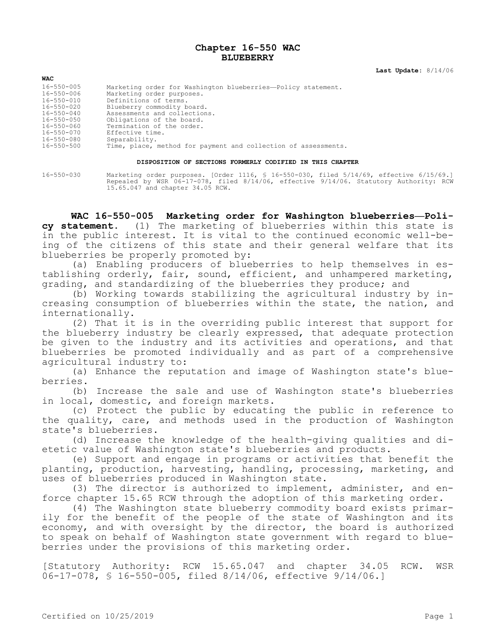# **Chapter 16-550 WAC BLUEBERRY**

**Last Update:** 8/14/06

| <b>WAC</b>       |                                                                |
|------------------|----------------------------------------------------------------|
| $16 - 550 - 005$ | Marketing order for Washington blueberries-Policy statement.   |
| 16-550-006       | Marketing order purposes.                                      |
| $16 - 550 - 010$ | Definitions of terms.                                          |
| $16 - 550 - 020$ | Blueberry commodity board.                                     |
| $16 - 550 - 040$ | Assessments and collections.                                   |
| $16 - 550 - 050$ | Obligations of the board.                                      |
| 16-550-060       | Termination of the order.                                      |
| 16-550-070       | Effective time.                                                |
| 16-550-080       | Separability.                                                  |
| 16-550-500       | Time, place, method for payment and collection of assessments. |

#### **DISPOSITION OF SECTIONS FORMERLY CODIFIED IN THIS CHAPTER**

16-550-030 Marketing order purposes. [Order 1116, § 16-550-030, filed 5/14/69, effective 6/15/69.] Repealed by WSR 06-17-078, filed 8/14/06, effective 9/14/06. Statutory Authority: RCW 15.65.047 and chapter 34.05 RCW.

**WAC 16-550-005 Marketing order for Washington blueberries—Policy statement.** (1) The marketing of blueberries within this state is in the public interest. It is vital to the continued economic well-being of the citizens of this state and their general welfare that its blueberries be properly promoted by:

(a) Enabling producers of blueberries to help themselves in establishing orderly, fair, sound, efficient, and unhampered marketing, grading, and standardizing of the blueberries they produce; and

(b) Working towards stabilizing the agricultural industry by increasing consumption of blueberries within the state, the nation, and internationally.

(2) That it is in the overriding public interest that support for the blueberry industry be clearly expressed, that adequate protection be given to the industry and its activities and operations, and that blueberries be promoted individually and as part of a comprehensive agricultural industry to:

(a) Enhance the reputation and image of Washington state's blueberries.

(b) Increase the sale and use of Washington state's blueberries in local, domestic, and foreign markets.

(c) Protect the public by educating the public in reference to the quality, care, and methods used in the production of Washington state's blueberries.

(d) Increase the knowledge of the health-giving qualities and dietetic value of Washington state's blueberries and products.

(e) Support and engage in programs or activities that benefit the planting, production, harvesting, handling, processing, marketing, and uses of blueberries produced in Washington state.

(3) The director is authorized to implement, administer, and enforce chapter 15.65 RCW through the adoption of this marketing order.

(4) The Washington state blueberry commodity board exists primarily for the benefit of the people of the state of Washington and its economy, and with oversight by the director, the board is authorized to speak on behalf of Washington state government with regard to blueberries under the provisions of this marketing order.

[Statutory Authority: RCW 15.65.047 and chapter 34.05 RCW. WSR 06-17-078, § 16-550-005, filed 8/14/06, effective 9/14/06.]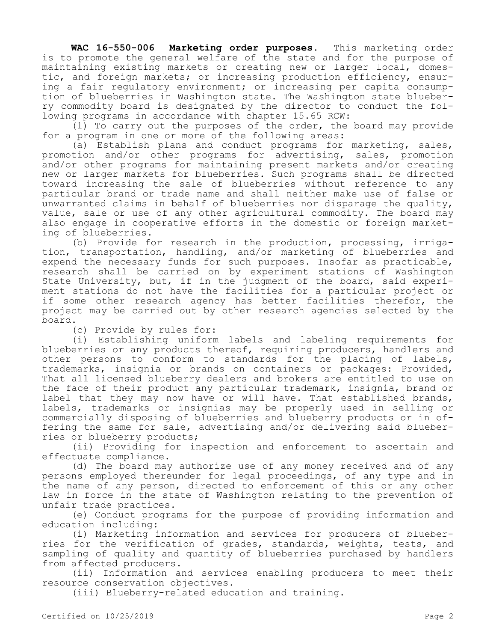**WAC 16-550-006 Marketing order purposes.** This marketing order is to promote the general welfare of the state and for the purpose of maintaining existing markets or creating new or larger local, domestic, and foreign markets; or increasing production efficiency, ensuring a fair regulatory environment; or increasing per capita consumption of blueberries in Washington state. The Washington state blueberry commodity board is designated by the director to conduct the following programs in accordance with chapter 15.65 RCW:

(1) To carry out the purposes of the order, the board may provide for a program in one or more of the following areas:

(a) Establish plans and conduct programs for marketing, sales, promotion and/or other programs for advertising, sales, promotion and/or other programs for maintaining present markets and/or creating new or larger markets for blueberries. Such programs shall be directed toward increasing the sale of blueberries without reference to any particular brand or trade name and shall neither make use of false or unwarranted claims in behalf of blueberries nor disparage the quality, value, sale or use of any other agricultural commodity. The board may also engage in cooperative efforts in the domestic or foreign marketing of blueberries.

(b) Provide for research in the production, processing, irrigation, transportation, handling, and/or marketing of blueberries and expend the necessary funds for such purposes. Insofar as practicable, research shall be carried on by experiment stations of Washington State University, but, if in the judgment of the board, said experiment stations do not have the facilities for a particular project or if some other research agency has better facilities therefor, the project may be carried out by other research agencies selected by the board.

(c) Provide by rules for:

(i) Establishing uniform labels and labeling requirements for blueberries or any products thereof, requiring producers, handlers and other persons to conform to standards for the placing of labels, trademarks, insignia or brands on containers or packages: Provided, That all licensed blueberry dealers and brokers are entitled to use on the face of their product any particular trademark, insignia, brand or label that they may now have or will have. That established brands, labels, trademarks or insignias may be properly used in selling or commercially disposing of blueberries and blueberry products or in offering the same for sale, advertising and/or delivering said blueberries or blueberry products;

(ii) Providing for inspection and enforcement to ascertain and effectuate compliance.

(d) The board may authorize use of any money received and of any persons employed thereunder for legal proceedings, of any type and in the name of any person, directed to enforcement of this or any other law in force in the state of Washington relating to the prevention of unfair trade practices.

(e) Conduct programs for the purpose of providing information and education including:

(i) Marketing information and services for producers of blueberries for the verification of grades, standards, weights, tests, and sampling of quality and quantity of blueberries purchased by handlers from affected producers.

(ii) Information and services enabling producers to meet their resource conservation objectives.

(iii) Blueberry-related education and training.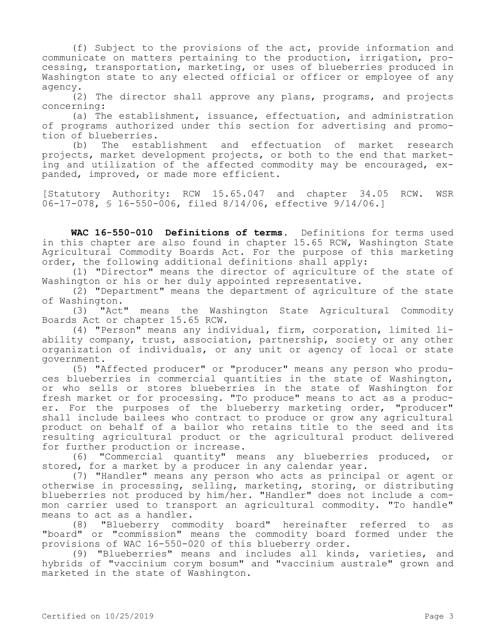(f) Subject to the provisions of the act, provide information and communicate on matters pertaining to the production, irrigation, processing, transportation, marketing, or uses of blueberries produced in Washington state to any elected official or officer or employee of any agency.

(2) The director shall approve any plans, programs, and projects concerning:

(a) The establishment, issuance, effectuation, and administration of programs authorized under this section for advertising and promotion of blueberries.

(b) The establishment and effectuation of market research projects, market development projects, or both to the end that marketing and utilization of the affected commodity may be encouraged, expanded, improved, or made more efficient.

[Statutory Authority: RCW 15.65.047 and chapter 34.05 RCW. WSR 06-17-078, § 16-550-006, filed 8/14/06, effective 9/14/06.]

**WAC 16-550-010 Definitions of terms.** Definitions for terms used in this chapter are also found in chapter 15.65 RCW, Washington State Agricultural Commodity Boards Act. For the purpose of this marketing order, the following additional definitions shall apply:

(1) "Director" means the director of agriculture of the state of Washington or his or her duly appointed representative.

(2) "Department" means the department of agriculture of the state of Washington.

(3) "Act" means the Washington State Agricultural Commodity Boards Act or chapter 15.65 RCW.

(4) "Person" means any individual, firm, corporation, limited liability company, trust, association, partnership, society or any other organization of individuals, or any unit or agency of local or state government.

(5) "Affected producer" or "producer" means any person who produces blueberries in commercial quantities in the state of Washington, or who sells or stores blueberries in the state of Washington for fresh market or for processing. "To produce" means to act as a producer. For the purposes of the blueberry marketing order, "producer" shall include bailees who contract to produce or grow any agricultural product on behalf of a bailor who retains title to the seed and its resulting agricultural product or the agricultural product delivered for further production or increase.

(6) "Commercial quantity" means any blueberries produced, or stored, for a market by a producer in any calendar year.

(7) "Handler" means any person who acts as principal or agent or otherwise in processing, selling, marketing, storing, or distributing blueberries not produced by him/her. "Handler" does not include a common carrier used to transport an agricultural commodity. "To handle" means to act as a handler.

(8) "Blueberry commodity board" hereinafter referred to as "board" or "commission" means the commodity board formed under the provisions of WAC 16-550-020 of this blueberry order.

(9) "Blueberries" means and includes all kinds, varieties, and hybrids of "vaccinium corym bosum" and "vaccinium australe" grown and marketed in the state of Washington.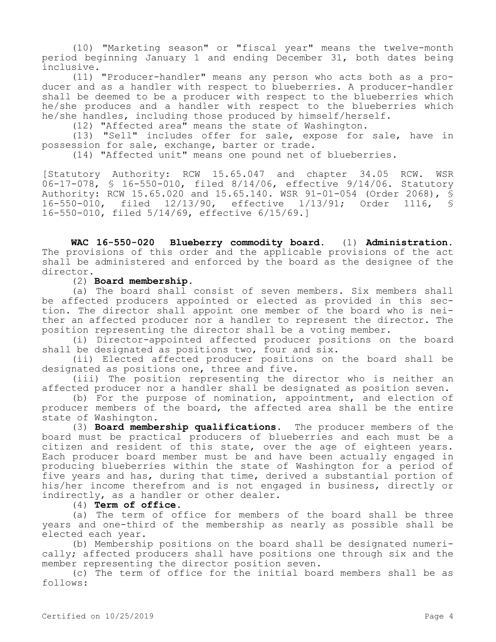(10) "Marketing season" or "fiscal year" means the twelve-month period beginning January 1 and ending December 31, both dates being inclusive.

(11) "Producer-handler" means any person who acts both as a producer and as a handler with respect to blueberries. A producer-handler shall be deemed to be a producer with respect to the blueberries which he/she produces and a handler with respect to the blueberries which he/she handles, including those produced by himself/herself.

(12) "Affected area" means the state of Washington.

(13) "Sell" includes offer for sale, expose for sale, have in possession for sale, exchange, barter or trade.

(14) "Affected unit" means one pound net of blueberries.

[Statutory Authority: RCW 15.65.047 and chapter 34.05 RCW. WSR 06-17-078, § 16-550-010, filed 8/14/06, effective 9/14/06. Statutory Authority: RCW 15.65.020 and 15.65.140. WSR 91-01-054 (Order 2068), § 16-550-010, filed 12/13/90, effective 1/13/91; Order 1116, § 16-550-010, filed 5/14/69, effective 6/15/69.]

**WAC 16-550-020 Blueberry commodity board.** (1) **Administration.**  The provisions of this order and the applicable provisions of the act shall be administered and enforced by the board as the designee of the director.

(2) **Board membership.**

(a) The board shall consist of seven members. Six members shall be affected producers appointed or elected as provided in this section. The director shall appoint one member of the board who is neither an affected producer nor a handler to represent the director. The position representing the director shall be a voting member.

(i) Director-appointed affected producer positions on the board shall be designated as positions two, four and six.

(ii) Elected affected producer positions on the board shall be designated as positions one, three and five.

(iii) The position representing the director who is neither an affected producer nor a handler shall be designated as position seven.

(b) For the purpose of nomination, appointment, and election of producer members of the board, the affected area shall be the entire state of Washington.

(3) **Board membership qualifications.** The producer members of the board must be practical producers of blueberries and each must be a citizen and resident of this state, over the age of eighteen years. Each producer board member must be and have been actually engaged in producing blueberries within the state of Washington for a period of five years and has, during that time, derived a substantial portion of his/her income therefrom and is not engaged in business, directly or indirectly, as a handler or other dealer.

(4) **Term of office.**

(a) The term of office for members of the board shall be three years and one-third of the membership as nearly as possible shall be elected each year.

(b) Membership positions on the board shall be designated numerically; affected producers shall have positions one through six and the member representing the director position seven.

(c) The term of office for the initial board members shall be as follows: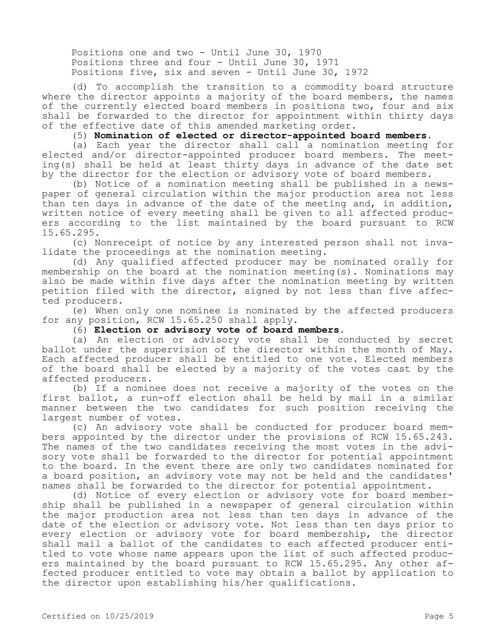Positions one and two - Until June 30, 1970 Positions three and four - Until June 30, 1971 Positions five, six and seven - Until June 30, 1972

(d) To accomplish the transition to a commodity board structure where the director appoints a majority of the board members, the names of the currently elected board members in positions two, four and six shall be forwarded to the director for appointment within thirty days of the effective date of this amended marketing order.

(5) **Nomination of elected or director-appointed board members.**

(a) Each year the director shall call a nomination meeting for elected and/or director-appointed producer board members. The meeting(s) shall be held at least thirty days in advance of the date set by the director for the election or advisory vote of board members.

(b) Notice of a nomination meeting shall be published in a newspaper of general circulation within the major production area not less than ten days in advance of the date of the meeting and, in addition, written notice of every meeting shall be given to all affected producers according to the list maintained by the board pursuant to RCW 15.65.295.

(c) Nonreceipt of notice by any interested person shall not invalidate the proceedings at the nomination meeting.

(d) Any qualified affected producer may be nominated orally for membership on the board at the nomination meeting(s). Nominations may also be made within five days after the nomination meeting by written petition filed with the director, signed by not less than five affected producers.

(e) When only one nominee is nominated by the affected producers for any position, RCW 15.65.250 shall apply.

# (6) **Election or advisory vote of board members.**

(a) An election or advisory vote shall be conducted by secret ballot under the supervision of the director within the month of May. Each affected producer shall be entitled to one vote. Elected members of the board shall be elected by a majority of the votes cast by the affected producers.

(b) If a nominee does not receive a majority of the votes on the first ballot, a run-off election shall be held by mail in a similar manner between the two candidates for such position receiving the largest number of votes.

(c) An advisory vote shall be conducted for producer board members appointed by the director under the provisions of RCW 15.65.243. The names of the two candidates receiving the most votes in the advisory vote shall be forwarded to the director for potential appointment to the board. In the event there are only two candidates nominated for a board position, an advisory vote may not be held and the candidates' names shall be forwarded to the director for potential appointment.

(d) Notice of every election or advisory vote for board membership shall be published in a newspaper of general circulation within the major production area not less than ten days in advance of the date of the election or advisory vote. Not less than ten days prior to every election or advisory vote for board membership, the director shall mail a ballot of the candidates to each affected producer entitled to vote whose name appears upon the list of such affected producers maintained by the board pursuant to RCW 15.65.295. Any other affected producer entitled to vote may obtain a ballot by application to the director upon establishing his/her qualifications.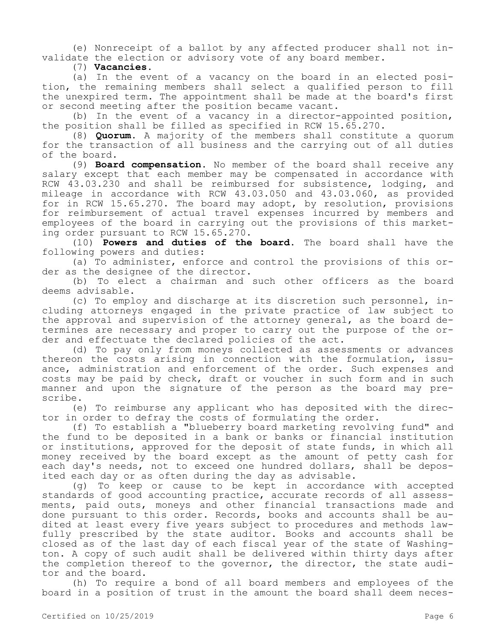(e) Nonreceipt of a ballot by any affected producer shall not invalidate the election or advisory vote of any board member.

(7) **Vacancies.**

(a) In the event of a vacancy on the board in an elected position, the remaining members shall select a qualified person to fill the unexpired term. The appointment shall be made at the board's first or second meeting after the position became vacant.

(b) In the event of a vacancy in a director-appointed position, the position shall be filled as specified in RCW 15.65.270.

(8) **Quorum.** A majority of the members shall constitute a quorum for the transaction of all business and the carrying out of all duties of the board.

(9) **Board compensation.** No member of the board shall receive any salary except that each member may be compensated in accordance with RCW 43.03.230 and shall be reimbursed for subsistence, lodging, and mileage in accordance with RCW 43.03.050 and 43.03.060, as provided for in RCW 15.65.270. The board may adopt, by resolution, provisions for reimbursement of actual travel expenses incurred by members and employees of the board in carrying out the provisions of this marketing order pursuant to RCW 15.65.270.

(10) **Powers and duties of the board.** The board shall have the following powers and duties:

(a) To administer, enforce and control the provisions of this order as the designee of the director.

(b) To elect a chairman and such other officers as the board deems advisable.

(c) To employ and discharge at its discretion such personnel, including attorneys engaged in the private practice of law subject to the approval and supervision of the attorney general, as the board determines are necessary and proper to carry out the purpose of the order and effectuate the declared policies of the act.

(d) To pay only from moneys collected as assessments or advances thereon the costs arising in connection with the formulation, issuance, administration and enforcement of the order. Such expenses and costs may be paid by check, draft or voucher in such form and in such manner and upon the signature of the person as the board may prescribe.

(e) To reimburse any applicant who has deposited with the director in order to defray the costs of formulating the order.

(f) To establish a "blueberry board marketing revolving fund" and the fund to be deposited in a bank or banks or financial institution or institutions, approved for the deposit of state funds, in which all money received by the board except as the amount of petty cash for each day's needs, not to exceed one hundred dollars, shall be deposited each day or as often during the day as advisable.

(g) To keep or cause to be kept in accordance with accepted standards of good accounting practice, accurate records of all assessments, paid outs, moneys and other financial transactions made and done pursuant to this order. Records, books and accounts shall be audited at least every five years subject to procedures and methods lawfully prescribed by the state auditor. Books and accounts shall be closed as of the last day of each fiscal year of the state of Washington. A copy of such audit shall be delivered within thirty days after the completion thereof to the governor, the director, the state auditor and the board.

(h) To require a bond of all board members and employees of the board in a position of trust in the amount the board shall deem neces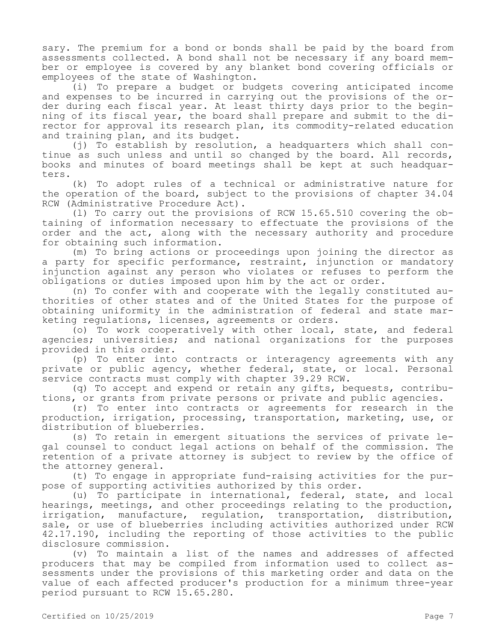sary. The premium for a bond or bonds shall be paid by the board from assessments collected. A bond shall not be necessary if any board member or employee is covered by any blanket bond covering officials or employees of the state of Washington.

(i) To prepare a budget or budgets covering anticipated income and expenses to be incurred in carrying out the provisions of the order during each fiscal year. At least thirty days prior to the beginning of its fiscal year, the board shall prepare and submit to the director for approval its research plan, its commodity-related education and training plan, and its budget.

(j) To establish by resolution, a headquarters which shall continue as such unless and until so changed by the board. All records, books and minutes of board meetings shall be kept at such headquarters.

(k) To adopt rules of a technical or administrative nature for the operation of the board, subject to the provisions of chapter 34.04 RCW (Administrative Procedure Act).

(l) To carry out the provisions of RCW 15.65.510 covering the obtaining of information necessary to effectuate the provisions of the order and the act, along with the necessary authority and procedure for obtaining such information.

(m) To bring actions or proceedings upon joining the director as a party for specific performance, restraint, injunction or mandatory injunction against any person who violates or refuses to perform the obligations or duties imposed upon him by the act or order.

(n) To confer with and cooperate with the legally constituted authorities of other states and of the United States for the purpose of obtaining uniformity in the administration of federal and state marketing regulations, licenses, agreements or orders.

(o) To work cooperatively with other local, state, and federal agencies; universities; and national organizations for the purposes provided in this order.

(p) To enter into contracts or interagency agreements with any private or public agency, whether federal, state, or local. Personal service contracts must comply with chapter 39.29 RCW.

(q) To accept and expend or retain any gifts, bequests, contributions, or grants from private persons or private and public agencies.

(r) To enter into contracts or agreements for research in the production, irrigation, processing, transportation, marketing, use, or distribution of blueberries.

(s) To retain in emergent situations the services of private legal counsel to conduct legal actions on behalf of the commission. The retention of a private attorney is subject to review by the office of the attorney general.

(t) To engage in appropriate fund-raising activities for the purpose of supporting activities authorized by this order.

(u) To participate in international, federal, state, and local hearings, meetings, and other proceedings relating to the production, irrigation, manufacture, regulation, transportation, distribution, sale, or use of blueberries including activities authorized under RCW 42.17.190, including the reporting of those activities to the public disclosure commission.

(v) To maintain a list of the names and addresses of affected producers that may be compiled from information used to collect assessments under the provisions of this marketing order and data on the value of each affected producer's production for a minimum three-year period pursuant to RCW 15.65.280.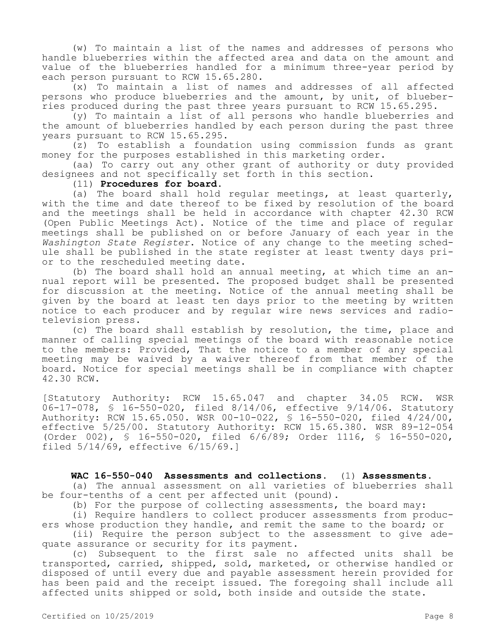(w) To maintain a list of the names and addresses of persons who handle blueberries within the affected area and data on the amount and value of the blueberries handled for a minimum three-year period by each person pursuant to RCW 15.65.280.

(x) To maintain a list of names and addresses of all affected persons who produce blueberries and the amount, by unit, of blueberries produced during the past three years pursuant to RCW 15.65.295.

(y) To maintain a list of all persons who handle blueberries and the amount of blueberries handled by each person during the past three years pursuant to RCW 15.65.295.

(z) To establish a foundation using commission funds as grant money for the purposes established in this marketing order.

(aa) To carry out any other grant of authority or duty provided designees and not specifically set forth in this section.

#### (11) **Procedures for board.**

(a) The board shall hold regular meetings, at least quarterly, with the time and date thereof to be fixed by resolution of the board and the meetings shall be held in accordance with chapter 42.30 RCW (Open Public Meetings Act). Notice of the time and place of regular meetings shall be published on or before January of each year in the *Washington State Register*. Notice of any change to the meeting schedule shall be published in the state register at least twenty days prior to the rescheduled meeting date.

(b) The board shall hold an annual meeting, at which time an annual report will be presented. The proposed budget shall be presented for discussion at the meeting. Notice of the annual meeting shall be given by the board at least ten days prior to the meeting by written notice to each producer and by regular wire news services and radiotelevision press.

(c) The board shall establish by resolution, the time, place and manner of calling special meetings of the board with reasonable notice to the members: Provided, That the notice to a member of any special meeting may be waived by a waiver thereof from that member of the board. Notice for special meetings shall be in compliance with chapter 42.30 RCW.

[Statutory Authority: RCW 15.65.047 and chapter 34.05 RCW. WSR 06-17-078, § 16-550-020, filed 8/14/06, effective 9/14/06. Statutory Authority: RCW 15.65.050. WSR 00-10-022, § 16-550-020, filed 4/24/00, effective 5/25/00. Statutory Authority: RCW 15.65.380. WSR 89-12-054 (Order 002), § 16-550-020, filed 6/6/89; Order 1116, § 16-550-020, filed 5/14/69, effective 6/15/69.]

## **WAC 16-550-040 Assessments and collections.** (1) **Assessments.**

(a) The annual assessment on all varieties of blueberries shall be four-tenths of a cent per affected unit (pound).

(b) For the purpose of collecting assessments, the board may:

(i) Require handlers to collect producer assessments from producers whose production they handle, and remit the same to the board; or

(ii) Require the person subject to the assessment to give adequate assurance or security for its payment.

(c) Subsequent to the first sale no affected units shall be transported, carried, shipped, sold, marketed, or otherwise handled or disposed of until every due and payable assessment herein provided for has been paid and the receipt issued. The foregoing shall include all affected units shipped or sold, both inside and outside the state.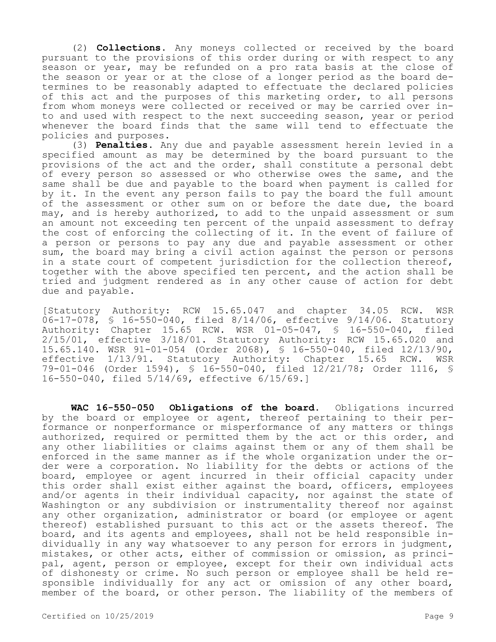(2) **Collections.** Any moneys collected or received by the board pursuant to the provisions of this order during or with respect to any season or year, may be refunded on a pro rata basis at the close of the season or year or at the close of a longer period as the board determines to be reasonably adapted to effectuate the declared policies of this act and the purposes of this marketing order, to all persons from whom moneys were collected or received or may be carried over into and used with respect to the next succeeding season, year or period whenever the board finds that the same will tend to effectuate the policies and purposes.

(3) **Penalties.** Any due and payable assessment herein levied in a specified amount as may be determined by the board pursuant to the provisions of the act and the order, shall constitute a personal debt of every person so assessed or who otherwise owes the same, and the same shall be due and payable to the board when payment is called for by it. In the event any person fails to pay the board the full amount of the assessment or other sum on or before the date due, the board may, and is hereby authorized, to add to the unpaid assessment or sum an amount not exceeding ten percent of the unpaid assessment to defray the cost of enforcing the collecting of it. In the event of failure of a person or persons to pay any due and payable assessment or other sum, the board may bring a civil action against the person or persons in a state court of competent jurisdiction for the collection thereof, together with the above specified ten percent, and the action shall be tried and judgment rendered as in any other cause of action for debt due and payable.

[Statutory Authority: RCW 15.65.047 and chapter 34.05 RCW. WSR 06-17-078, § 16-550-040, filed 8/14/06, effective 9/14/06. Statutory Authority: Chapter 15.65 RCW. WSR 01-05-047, § 16-550-040, filed 2/15/01, effective 3/18/01. Statutory Authority: RCW 15.65.020 and 15.65.140. WSR 91-01-054 (Order 2068), § 16-550-040, filed 12/13/90, effective 1/13/91. Statutory Authority: Chapter 15.65 79-01-046 (Order 1594), § 16-550-040, filed 12/21/78; Order 1116, § 16-550-040, filed 5/14/69, effective 6/15/69.]

**WAC 16-550-050 Obligations of the board.** Obligations incurred by the board or employee or agent, thereof pertaining to their performance or nonperformance or misperformance of any matters or things authorized, required or permitted them by the act or this order, and any other liabilities or claims against them or any of them shall be enforced in the same manner as if the whole organization under the order were a corporation. No liability for the debts or actions of the board, employee or agent incurred in their official capacity under this order shall exist either against the board, officers, employees and/or agents in their individual capacity, nor against the state of Washington or any subdivision or instrumentality thereof nor against any other organization, administrator or board (or employee or agent thereof) established pursuant to this act or the assets thereof. The board, and its agents and employees, shall not be held responsible individually in any way whatsoever to any person for errors in judgment, mistakes, or other acts, either of commission or omission, as principal, agent, person or employee, except for their own individual acts of dishonesty or crime. No such person or employee shall be held responsible individually for any act or omission of any other board, member of the board, or other person. The liability of the members of